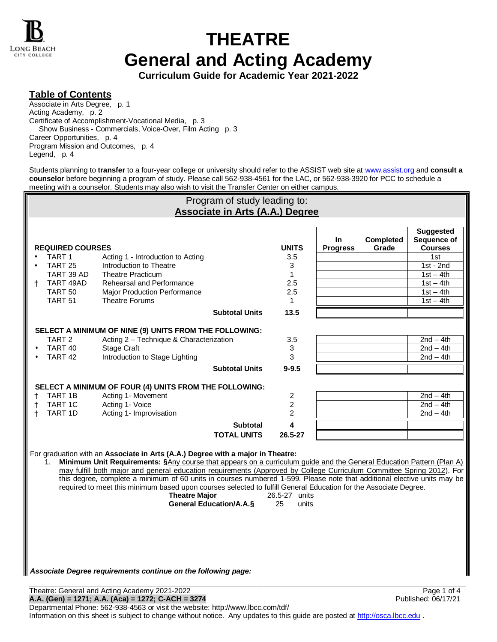

# **THEATRE General and Acting Academy**

**Curriculum Guide for Academic Year 2021-2022**

### **Table of Contents**

Associate in Arts Degree, p. 1 Acting Academy, p. 2 Certificate of Accomplishment-Vocational Media, p. 3 Show Business - Commercials, Voice-Over, Film Acting p. 3 Career Opportunities, p. 4 Program Mission and Outcomes, p. 4 Legend, p. 4

Students planning to **transfer** to a four-year college or university should refer to the ASSIST web site a[t www.assist.org](http://www.assist.org/) and **consult a counselor** before beginning a program of study. Please call 562-938-4561 for the LAC, or 562-938-3920 for PCC to schedule a meeting with a counselor. Students may also wish to visit the Transfer Center on either campus.

| Program of study leading to:                           |                         |                                                                                                                                                                                                                                                                                                                                                                                                                                                                                                                                                                                                                                            |                       |                              |                        |                    |                                                   |  |
|--------------------------------------------------------|-------------------------|--------------------------------------------------------------------------------------------------------------------------------------------------------------------------------------------------------------------------------------------------------------------------------------------------------------------------------------------------------------------------------------------------------------------------------------------------------------------------------------------------------------------------------------------------------------------------------------------------------------------------------------------|-----------------------|------------------------------|------------------------|--------------------|---------------------------------------------------|--|
| <b>Associate in Arts (A.A.) Degree</b>                 |                         |                                                                                                                                                                                                                                                                                                                                                                                                                                                                                                                                                                                                                                            |                       |                              |                        |                    |                                                   |  |
|                                                        | <b>REQUIRED COURSES</b> |                                                                                                                                                                                                                                                                                                                                                                                                                                                                                                                                                                                                                                            |                       | <b>UNITS</b>                 | In.<br><b>Progress</b> | Completed<br>Grade | <b>Suggested</b><br>Sequence of<br><b>Courses</b> |  |
|                                                        | TART <sub>1</sub>       | Acting 1 - Introduction to Acting                                                                                                                                                                                                                                                                                                                                                                                                                                                                                                                                                                                                          |                       | 3.5                          |                        |                    | 1st                                               |  |
|                                                        | TART <sub>25</sub>      | Introduction to Theatre                                                                                                                                                                                                                                                                                                                                                                                                                                                                                                                                                                                                                    |                       | 3                            |                        |                    | $1st - 2nd$                                       |  |
|                                                        | TART 39 AD              | <b>Theatre Practicum</b>                                                                                                                                                                                                                                                                                                                                                                                                                                                                                                                                                                                                                   |                       | $\mathbf{1}$                 |                        |                    | $1st - 4th$                                       |  |
| t.                                                     | TART 49AD               | Rehearsal and Performance                                                                                                                                                                                                                                                                                                                                                                                                                                                                                                                                                                                                                  |                       | 2.5                          |                        |                    | $1st - 4th$                                       |  |
|                                                        | TART <sub>50</sub>      | Major Production Performance                                                                                                                                                                                                                                                                                                                                                                                                                                                                                                                                                                                                               |                       | 2.5                          |                        |                    | $1st - 4th$                                       |  |
|                                                        | TART <sub>51</sub>      | <b>Theatre Forums</b>                                                                                                                                                                                                                                                                                                                                                                                                                                                                                                                                                                                                                      |                       | 1                            |                        |                    | $1st - 4th$                                       |  |
|                                                        |                         |                                                                                                                                                                                                                                                                                                                                                                                                                                                                                                                                                                                                                                            | <b>Subtotal Units</b> | 13.5                         |                        |                    |                                                   |  |
| SELECT A MINIMUM OF NINE (9) UNITS FROM THE FOLLOWING: |                         |                                                                                                                                                                                                                                                                                                                                                                                                                                                                                                                                                                                                                                            |                       |                              |                        |                    |                                                   |  |
|                                                        | TART <sub>2</sub>       | Acting 2 - Technique & Characterization                                                                                                                                                                                                                                                                                                                                                                                                                                                                                                                                                                                                    |                       | 3.5                          |                        |                    | $\overline{2nd} - 4th$                            |  |
|                                                        | TART 40                 | <b>Stage Craft</b>                                                                                                                                                                                                                                                                                                                                                                                                                                                                                                                                                                                                                         |                       | 3                            |                        |                    | $2nd - 4th$                                       |  |
|                                                        | TART <sub>42</sub>      | Introduction to Stage Lighting                                                                                                                                                                                                                                                                                                                                                                                                                                                                                                                                                                                                             |                       | 3                            |                        |                    | $2nd - 4th$                                       |  |
|                                                        |                         |                                                                                                                                                                                                                                                                                                                                                                                                                                                                                                                                                                                                                                            | <b>Subtotal Units</b> | $9 - 9.5$                    |                        |                    |                                                   |  |
|                                                        |                         |                                                                                                                                                                                                                                                                                                                                                                                                                                                                                                                                                                                                                                            |                       |                              |                        |                    |                                                   |  |
|                                                        | TART 1B                 | SELECT A MINIMUM OF FOUR (4) UNITS FROM THE FOLLOWING:<br>Acting 1- Movement                                                                                                                                                                                                                                                                                                                                                                                                                                                                                                                                                               |                       | $\overline{c}$               |                        |                    | $2nd - 4th$                                       |  |
|                                                        | TART 1C                 | Acting 1- Voice                                                                                                                                                                                                                                                                                                                                                                                                                                                                                                                                                                                                                            |                       | $\overline{c}$               |                        |                    | $2nd - 4th$                                       |  |
| t.                                                     | TART 1D                 | Acting 1- Improvisation                                                                                                                                                                                                                                                                                                                                                                                                                                                                                                                                                                                                                    |                       | 2                            |                        |                    | $2nd - 4th$                                       |  |
|                                                        |                         |                                                                                                                                                                                                                                                                                                                                                                                                                                                                                                                                                                                                                                            | <b>Subtotal</b>       | 4                            |                        |                    |                                                   |  |
|                                                        |                         |                                                                                                                                                                                                                                                                                                                                                                                                                                                                                                                                                                                                                                            | <b>TOTAL UNITS</b>    | 26.5-27                      |                        |                    |                                                   |  |
|                                                        |                         |                                                                                                                                                                                                                                                                                                                                                                                                                                                                                                                                                                                                                                            |                       |                              |                        |                    |                                                   |  |
|                                                        | $1_{-}$                 | For graduation with an Associate in Arts (A.A.) Degree with a major in Theatre:<br>Minimum Unit Requirements: §Any course that appears on a curriculum guide and the General Education Pattern (Plan A)<br>may fulfill both major and general education requirements (Approved by College Curriculum Committee Spring 2012). For<br>this degree, complete a minimum of 60 units in courses numbered 1-599. Please note that additional elective units may be<br>required to meet this minimum based upon courses selected to fulfill General Education for the Associate Degree.<br><b>Theatre Major</b><br><b>General Education/A.A.§</b> |                       | 26.5-27 units<br>25<br>units |                        |                    |                                                   |  |

#### *Associate Degree requirements continue on the following page:*

\_\_\_\_\_\_\_\_\_\_\_\_\_\_\_\_\_\_\_\_\_\_\_\_\_\_\_\_\_\_\_\_\_\_\_\_\_\_\_\_\_\_\_\_\_\_\_\_\_\_\_\_\_\_\_\_\_\_\_\_\_\_\_\_\_\_\_\_\_\_\_\_\_\_\_\_\_\_\_\_\_\_\_\_\_\_\_\_\_\_\_\_\_\_\_\_\_\_\_\_\_\_\_\_\_\_\_\_\_\_\_\_\_\_\_\_\_\_\_\_\_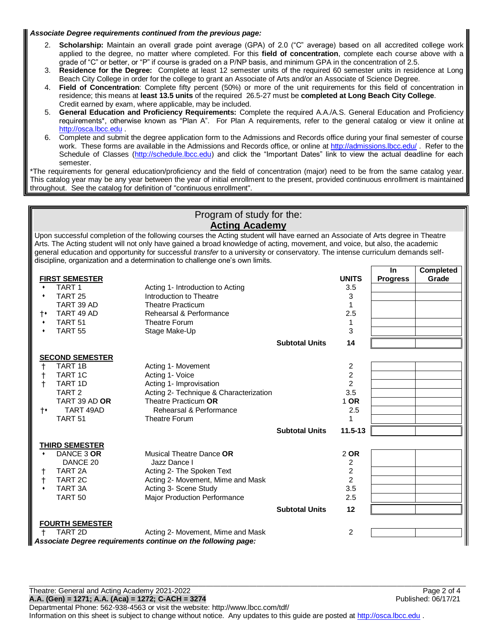#### *Associate Degree requirements continued from the previous page:*

- 2. **Scholarship:** Maintain an overall grade point average (GPA) of 2.0 ("C" average) based on all accredited college work applied to the degree, no matter where completed. For this **field of concentration**, complete each course above with a grade of "C" or better, or "P" if course is graded on a P/NP basis, and minimum GPA in the concentration of 2.5.
- 3. **Residence for the Degree:** Complete at least 12 semester units of the required 60 semester units in residence at Long Beach City College in order for the college to grant an Associate of Arts and/or an Associate of Science Degree.
- 4. **Field of Concentration**: Complete fifty percent (50%) or more of the unit requirements for this field of concentration in residence; this means at **least 13.5 units** of the required 26.5-27 must be **completed at Long Beach City College**. Credit earned by exam, where applicable, may be included.
- 5. **General Education and Proficiency Requirements:** Complete the required A.A./A.S. General Education and Proficiency requirements\*, otherwise known as "Plan A". For Plan A requirements, refer to the general catalog or view it online at [http://osca.lbcc.edu](http://osca.lbcc.edu/)
- 6. Complete and submit the degree application form to the Admissions and Records office during your final semester of course work. These forms are available in the Admissions and Records office, or online at<http://admissions.lbcc.edu/> . Refer to the Schedule of Classes [\(http://schedule.lbcc.edu\)](http://schedule.lbcc.edu/) and click the "Important Dates" link to view the actual deadline for each semester.

\*The requirements for general education/proficiency and the field of concentration (major) need to be from the same catalog year. This catalog year may be any year between the year of initial enrollment to the present, provided continuous enrollment is maintained throughout. See the catalog for definition of "continuous enrollment".

> Program of study for the: **Acting Academy**

Upon successful completion of the following courses the Acting student will have earned an Associate of Arts degree in Theatre Arts. The Acting student will not only have gained a broad knowledge of acting, movement, and voice, but also, the academic general education and opportunity for successful *transfer* to a university or conservatory. The intense curriculum demands selfdiscipline, organization and a determination to challenge one's own limits.

|           |                        |                                                               |                       |                  | <b>In</b>       | <b>Completed</b> |
|-----------|------------------------|---------------------------------------------------------------|-----------------------|------------------|-----------------|------------------|
|           | <b>FIRST SEMESTER</b>  |                                                               |                       | <b>UNITS</b>     | <b>Progress</b> | Grade            |
| ۰         | TART <sub>1</sub>      | Acting 1- Introduction to Acting                              |                       | 3.5              |                 |                  |
|           | TART <sub>25</sub>     | Introduction to Theatre                                       |                       | 3                |                 |                  |
|           | TART 39 AD             | <b>Theatre Practicum</b>                                      |                       |                  |                 |                  |
| t٠        | TART 49 AD             | Rehearsal & Performance                                       |                       | 2.5              |                 |                  |
| ۰         | TART <sub>51</sub>     | <b>Theatre Forum</b>                                          |                       | 1                |                 |                  |
| ٠         | TART <sub>55</sub>     | Stage Make-Up                                                 |                       | 3                |                 |                  |
|           |                        |                                                               | <b>Subtotal Units</b> | 14               |                 |                  |
|           | <b>SECOND SEMESTER</b> |                                                               |                       |                  |                 |                  |
| t         | <b>TART 1B</b>         | Acting 1- Movement                                            |                       | 2                |                 |                  |
| t         | <b>TART 1C</b>         | Acting 1- Voice                                               |                       | $\boldsymbol{2}$ |                 |                  |
| t         | TART 1D                | Acting 1- Improvisation                                       |                       | $\overline{2}$   |                 |                  |
|           | TART <sub>2</sub>      | Acting 2- Technique & Characterization                        |                       | 3.5              |                 |                  |
|           | TART 39 AD OR          | Theatre Practicum OR                                          |                       | 1 OR             |                 |                  |
| $\dagger$ | TART 49AD              | Rehearsal & Performance                                       |                       | 2.5              |                 |                  |
|           | TART <sub>51</sub>     | <b>Theatre Forum</b>                                          |                       |                  |                 |                  |
|           |                        |                                                               | <b>Subtotal Units</b> | $11.5 - 13$      |                 |                  |
|           | <b>THIRD SEMESTER</b>  |                                                               |                       |                  |                 |                  |
|           | DANCE 3 OR             | Musical Theatre Dance OR                                      |                       | 2 OR             |                 |                  |
|           | DANCE 20               | Jazz Dance I                                                  |                       | 2                |                 |                  |
|           | TART <sub>2</sub> A    | Acting 2- The Spoken Text                                     |                       | $\boldsymbol{2}$ |                 |                  |
| t         | TART <sub>2C</sub>     | Acting 2- Movement, Mime and Mask                             |                       | $\overline{2}$   |                 |                  |
| ۰         | TART <sub>3</sub> A    | Acting 3- Scene Study                                         |                       | 3.5              |                 |                  |
|           | <b>TART 50</b>         | Major Production Performance                                  |                       | 2.5              |                 |                  |
|           |                        |                                                               | <b>Subtotal Units</b> | 12               |                 |                  |
|           | <b>FOURTH SEMESTER</b> |                                                               |                       |                  |                 |                  |
|           | TART 2D                | Acting 2- Movement, Mime and Mask                             |                       | 2                |                 |                  |
|           |                        | Associate Degree requirements continue on the following page: |                       |                  |                 |                  |

Theatre: General and Acting Academy 2021-2022 **Page 2 of 4** and 2011-2022 **A.A. (Gen) = 1271; A.A. (Aca) = 1272; C-ACH = 3274** Published: 06/17/21 Departmental Phone: 562-938-4563 or visit the website: http://www.lbcc.com/tdf/ Information on this sheet is subject to change without notice. Any updates to this guide are posted at [http://osca.lbcc.edu](http://osca.lbcc.edu/) .

\_\_\_\_\_\_\_\_\_\_\_\_\_\_\_\_\_\_\_\_\_\_\_\_\_\_\_\_\_\_\_\_\_\_\_\_\_\_\_\_\_\_\_\_\_\_\_\_\_\_\_\_\_\_\_\_\_\_\_\_\_\_\_\_\_\_\_\_\_\_\_\_\_\_\_\_\_\_\_\_\_\_\_\_\_\_\_\_\_\_\_\_\_\_\_\_\_\_\_\_\_\_\_\_\_\_\_\_\_\_\_\_\_\_\_\_\_\_\_\_\_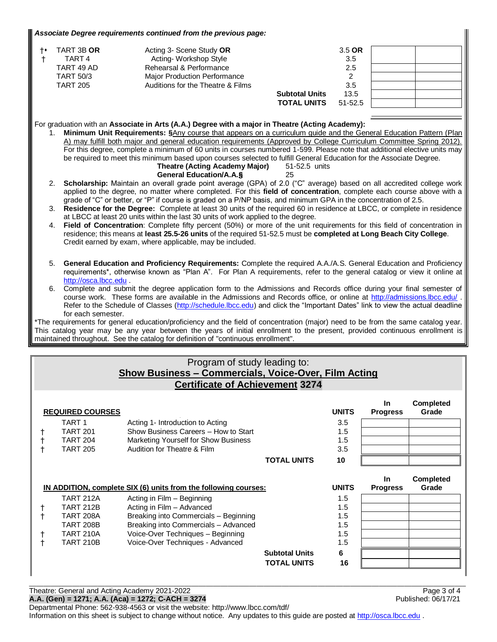#### *Associate Degree requirements continued from the previous page:*

| $+ \bullet$ | TART 3B OR<br>TART <sub>4</sub> | Acting 3- Scene Study OR<br>Acting-Workshop Style |                       | 3.5 OR<br>3.5 |  |
|-------------|---------------------------------|---------------------------------------------------|-----------------------|---------------|--|
|             | TART 49 AD                      | Rehearsal & Performance                           |                       | 2.5           |  |
|             | <b>TART 50/3</b>                | <b>Major Production Performance</b>               |                       |               |  |
|             | <b>TART 205</b>                 | Auditions for the Theatre & Films                 |                       | 3.5           |  |
|             |                                 |                                                   | <b>Subtotal Units</b> | 13.5          |  |
|             |                                 |                                                   | <b>TOTAL UNITS</b>    | $51 - 52.5$   |  |

### For graduation with an **Associate in Arts (A.A.) Degree with a major in Theatre (Acting Academy):**

1. **Minimum Unit Requirements: §**Any course that appears on a curriculum guide and the General Education Pattern (Plan A) may fulfill both major and general education requirements (Approved by College Curriculum Committee Spring 2012). For this degree, complete a minimum of 60 units in courses numbered 1-599. Please note that additional elective units may be required to meet this minimum based upon courses selected to fulfill General Education for the Associate Degree. **Theatre (Acting Academy Major)** 51-52.5 units

# **General Education/A.A.§** 25

- 2. **Scholarship:** Maintain an overall grade point average (GPA) of 2.0 ("C" average) based on all accredited college work applied to the degree, no matter where completed. For this **field of concentration**, complete each course above with a grade of "C" or better, or "P" if course is graded on a P/NP basis, and minimum GPA in the concentration of 2.5.
- 3. **Residence for the Degree:** Complete at least 30 units of the required 60 in residence at LBCC, or complete in residence at LBCC at least 20 units within the last 30 units of work applied to the degree.
- 4. **Field of Concentration**: Complete fifty percent (50%) or more of the unit requirements for this field of concentration in residence; this means at **least 25.5-26 units** of the required 51-52.5 must be **completed at Long Beach City College**. Credit earned by exam, where applicable, may be included.
- 5. **General Education and Proficiency Requirements:** Complete the required A.A./A.S. General Education and Proficiency requirements\*, otherwise known as "Plan A". For Plan A requirements, refer to the general catalog or view it online at [http://osca.lbcc.edu](http://osca.lbcc.edu/) .
- 6. Complete and submit the degree application form to the Admissions and Records office during your final semester of course work. These forms are available in the Admissions and Records office, or online at<http://admissions.lbcc.edu/> . Refer to the Schedule of Classes [\(http://schedule.lbcc.edu\)](http://schedule.lbcc.edu/) and click the "Important Dates" link to view the actual deadline for each semester.

\*The requirements for general education/proficiency and the field of concentration (major) need to be from the same catalog year. This catalog year may be any year between the years of initial enrollment to the present, provided continuous enrollment is maintained throughout. See the catalog for definition of "continuous enrollment".

### Program of study leading to: **Show Business – Commercials, Voice-Over, Film Acting Certificate of Achievement 3274**

|                                                                 | <b>REQUIRED COURSES</b> |                                       |                       | <b>UNITS</b> | <b>In</b><br><b>Progress</b> | <b>Completed</b><br>Grade |
|-----------------------------------------------------------------|-------------------------|---------------------------------------|-----------------------|--------------|------------------------------|---------------------------|
|                                                                 | TART 1                  | Acting 1- Introduction to Acting      |                       | 3.5          |                              |                           |
|                                                                 | <b>TART 201</b>         | Show Business Careers - How to Start  |                       | 1.5          |                              |                           |
|                                                                 | <b>TART 204</b>         | Marketing Yourself for Show Business  |                       | 1.5          |                              |                           |
|                                                                 | <b>TART 205</b>         | Audition for Theatre & Film           |                       | 3.5          |                              |                           |
|                                                                 |                         |                                       | <b>TOTAL UNITS</b>    | 10           |                              |                           |
|                                                                 |                         |                                       |                       |              | <b>In</b>                    | <b>Completed</b>          |
| IN ADDITION, complete SIX (6) units from the following courses: |                         | <b>UNITS</b>                          | <b>Progress</b>       | Grade        |                              |                           |
|                                                                 | <b>TART 212A</b>        | Acting in Film - Beginning            |                       | 1.5          |                              |                           |
|                                                                 | <b>TART 212B</b>        | Acting in Film - Advanced             |                       | 1.5          |                              |                           |
|                                                                 | <b>TART 208A</b>        | Breaking into Commercials - Beginning |                       | 1.5          |                              |                           |
|                                                                 | <b>TART 208B</b>        | Breaking into Commercials - Advanced  |                       | 1.5          |                              |                           |
|                                                                 | <b>TART 210A</b>        | Voice-Over Techniques - Beginning     |                       | 1.5          |                              |                           |
|                                                                 | <b>TART 210B</b>        | Voice-Over Techniques - Advanced      |                       | 1.5          |                              |                           |
|                                                                 |                         |                                       |                       |              |                              |                           |
|                                                                 |                         |                                       | <b>Subtotal Units</b> | 6            |                              |                           |

\_\_\_\_\_\_\_\_\_\_\_\_\_\_\_\_\_\_\_\_\_\_\_\_\_\_\_\_\_\_\_\_\_\_\_\_\_\_\_\_\_\_\_\_\_\_\_\_\_\_\_\_\_\_\_\_\_\_\_\_\_\_\_\_\_\_\_\_\_\_\_\_\_\_\_\_\_\_\_\_\_\_\_\_\_\_\_\_\_\_\_\_\_\_\_\_\_\_\_\_\_\_\_\_\_\_\_\_\_\_\_\_\_\_\_\_\_\_\_\_\_

Theatre: General and Acting Academy 2021-2022 Page 3 of 4

**A.A. (Gen) = 1271; A.A. (Aca) = 1272; C-ACH = 3274** Published: 06/17/21

Departmental Phone: 562-938-4563 or visit the website: http://www.lbcc.com/tdf/ Information on this sheet is subject to change without notice. Any updates to this guide are posted at [http://osca.lbcc.edu](http://osca.lbcc.edu/) .